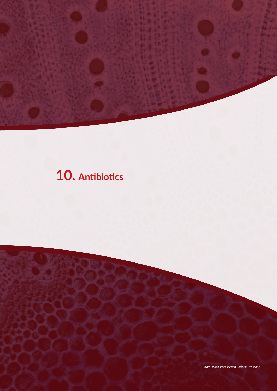# **10. Antibiotics**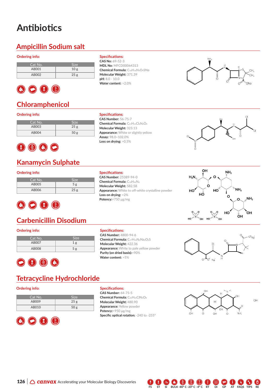# **Antibiotics**

### **Ampicillin Sodium salt**

#### **Ordering info:**

| Cat No. | Size. |
|---------|-------|
| AB001   | 10g   |
| AB002   | 25g   |



### **Chloramphenicol**

#### **Ordering info:**

| Cat No. | <b>Size</b>     |
|---------|-----------------|
| AB003   | 25 <sub>g</sub> |
| AB004   | 50 <sub>g</sub> |

#### **Specifications:**

**CAS No:** 69-52-3 **MDL No:** MFCD00064313 **Chemical Formula:** C16H18N3O4SNa **Molecular Weight:** 371.39 **pH:** 8.0 - 10.0 **Water content:** >2.0%



#### **Specifications:**

**CAS Number:** 56-75-7 **Chemical Formula:** C11H12Cl2N2O5 **Molecular Weight:** 323.13 **Appearance:** White or slightly yellow **Assay:** 98.0~102.0% **Loss on drying:** >0.5%



# 8000

### **Kanamycin Sulphate**

#### **Ordering info:**

| Cat No. | Size            |
|---------|-----------------|
| AB005   | 5g              |
| AB006   | 25 <sub>g</sub> |



### **Carbenicillin Disodium**

#### **Ordering info:**

| Cat No. | <b>Size</b> |
|---------|-------------|
| AB007   | 1g          |
| AB008   | 5g          |
|         |             |



### **Tetracycline Hydrochloride**

#### **Ordering info:**

| Cat No. | <b>Size</b>     |
|---------|-----------------|
| AB009   | 25 <sub>g</sub> |
| AB010   | 50 <sub>g</sub> |



#### **Specifications:**

**Specifications: CAS Number:** 25389-94-0 **Chemical Formula:** C18H36N4 **Molecular Weight:** 582.58

**Loss on drying:** >2% **Potency:**<750 μg/mg

**CAS Number:** 4800-94-6 **Chemical Formula:** C17H16N2Na2O6S **Molecular Weight:** 422.36 **Appearance:** White to pale yellow powder **Purity (on dried basis):**<90% **Water content:** >5%

**Appearance:** White to off-white crystalline powder





#### **Specifications:**

**CAS Number:** 64-75-5 **Chemical Formula:** C<sub>22</sub>H<sub>25</sub>ClN<sub>2</sub>O<sub>8</sub> **Molecular Weight:** 480.90 **Appearance:** Yellow powder **Potency:**<950 μg/mg **Specific optical rotation:** -240 to -255º



**FS ST SI BULK -80º C -20º C -4º C RT DI GP AT FAQS TIPS RE**  $\bigcirc$